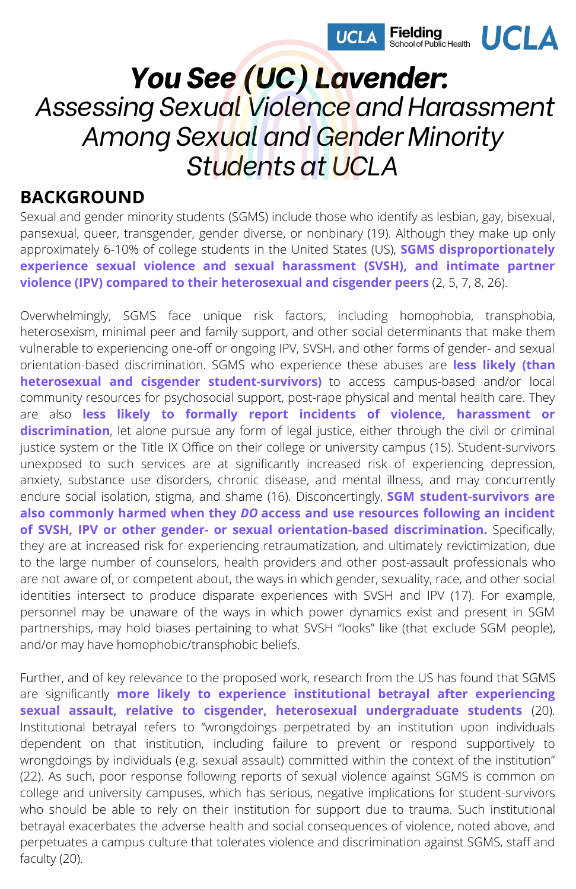

# *You See (UC) Lavender: Assessing Sexual Violence and Harassment Among Sexual and Gender Minority Students at UCLA*

#### **BACKGROUND**

Sexual and gender minority students (SGMS) include those who identify as lesbian, gay, bisexual, pansexual, queer, transgender, gender diverse, or nonbinary (19). Although they make up only approximately 6-10% of college students in the United States (US), **SGMS disproportionately experience sexual violence and sexual harassment (SVSH), and intimate partner violence (IPV) compared to their heterosexual and cisgender peers** (2, 5, 7, 8, 26).

Overwhelmingly, SGMS face unique risk factors, including homophobia, transphobia, heterosexism, minimal peer and family support, and other social determinants that make them vulnerable to experiencing one-off or ongoing IPV, SVSH, and other forms of gender- and sexual orientation-based discrimination. SGMS who experience these abuses are **less likely (than heterosexual and cisgender student-survivors)** to access campus-based and/or local community resources for psychosocial support, post-rape physical and mental health care. They are also **less likely to formally report incidents of violence, harassment or discrimination**, let alone pursue any form of legal justice, either through the civil or criminal justice system or the Title IX Office on their college or university campus (15). Student-survivors unexposed to such services are at significantly increased risk of experiencing depression, anxiety, substance use disorders, chronic disease, and mental illness, and may concurrently endure social isolation, stigma, and shame (16). Disconcertingly, **SGM student-survivors are also commonly harmed when they** *DO* **access and use resources following an incident of SVSH, IPV or other gender- or sexual orientation-based discrimination.** Specifically, they are at increased risk for experiencing retraumatization, and ultimately revictimization, due to the large number of counselors, health providers and other post-assault professionals who are not aware of, or competent about, the ways in which gender, sexuality, race, and other social identities intersect to produce disparate experiences with SVSH and IPV (17). For example, personnel may be unaware of the ways in which power dynamics exist and present in SGM partnerships, may hold biases pertaining to what SVSH "looks" like (that exclude SGM people), and/or may have homophobic/transphobic beliefs.

Further, and of key relevance to the proposed work, research from the US has found that SGMS are significantly **more likely to experience institutional betrayal after experiencing sexual assault, relative to cisgender, heterosexual undergraduate students** (20). Institutional betrayal refers to "wrongdoings perpetrated by an institution upon individuals dependent on that institution, including failure to prevent or respond supportively to wrongdoings by individuals (e.g. sexual assault) committed within the context of the institution" (22). As such, poor response following reports of sexual violence against SGMS is common on college and university campuses, which has serious, negative implications for student-survivors who should be able to rely on their institution for support due to trauma. Such institutional betrayal exacerbates the adverse health and social consequences of violence, noted above, and perpetuates a campus culture that tolerates violence and discrimination against SGMS, staff and faculty (20).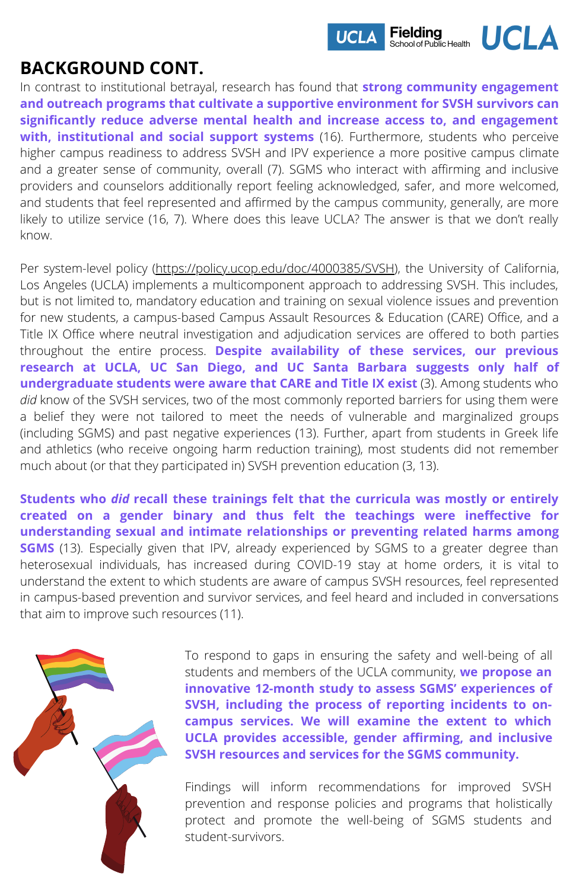

### **BACKGROUND CONT.**

In contrast to institutional betrayal, research has found that **strong community engagement and outreach programs that cultivate a supportive environment for SVSH survivors can significantly reduce adverse mental health and increase access to, and engagement with, institutional and social support systems** (16). Furthermore, students who perceive higher campus readiness to address SVSH and IPV experience a more positive campus climate and a greater sense of community, overall (7). SGMS who interact with affirming and inclusive providers and counselors additionally report feeling acknowledged, safer, and more welcomed, and students that feel represented and affirmed by the campus community, generally, are more likely to utilize service (16, 7). Where does this leave UCLA? The answer is that we don't really know.

Per system-level policy [\(https://policy.ucop.edu/doc/4000385/SVSH](https://policy.ucop.edu/doc/4000385/SVSH)), the University of California, Los Angeles (UCLA) implements a multicomponent approach to addressing SVSH. This includes, but is not limited to, mandatory education and training on sexual violence issues and prevention for new students, a campus-based Campus Assault Resources & Education (CARE) Office, and a Title IX Office where neutral investigation and adjudication services are offered to both parties throughout the entire process. **Despite availability of these services, our previous research at UCLA, UC San Diego, and UC Santa Barbara suggests only half of undergraduate students were aware that CARE and Title IX exist** (3). Among students who *did* know of the SVSH services, two of the most commonly reported barriers for using them were a belief they were not tailored to meet the needs of vulnerable and marginalized groups (including SGMS) and past negative experiences (13). Further, apart from students in Greek life and athletics (who receive ongoing harm reduction training), most students did not remember much about (or that they participated in) SVSH prevention education (3, 13).

**Students who** *did* **recall these trainings felt that the curricula was mostly or entirely created on a gender binary and thus felt the teachings were ineffective for understanding sexual and intimate relationships or preventing related harms among SGMS** (13). Especially given that IPV, already experienced by SGMS to a greater degree than heterosexual individuals, has increased during COVID-19 stay at home orders, it is vital to understand the extent to which students are aware of campus SVSH resources, feel represented in campus-based prevention and survivor services, and feel heard and included in conversations that aim to improve such resources (11).



To respond to gaps in ensuring the safety and well-being of all students and members of the UCLA community, **we propose an innovative 12-month study to assess SGMS' experiences of SVSH, including the process of reporting incidents to oncampus services. We will examine the extent to which UCLA provides accessible, gender affirming, and inclusive SVSH resources and services for the SGMS community.**

Findings will inform recommendations for improved SVSH prevention and response policies and programs that holistically protect and promote the well-being of SGMS students and student-survivors.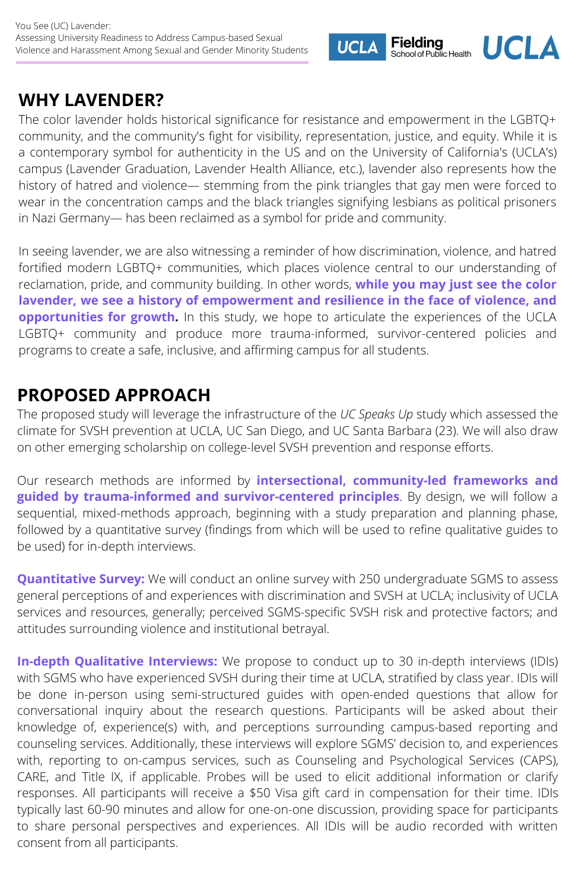### **WHY LAVENDER?**

The color lavender holds historical significance for resistance and empowerment in the LGBTQ+ community, and the community's fight for visibility, representation, justice, and equity. While it is a contemporary symbol for authenticity in the US and on the University of California's (UCLA's) campus (Lavender Graduation, Lavender Health Alliance, etc.), lavender also represents how the history of hatred and violence— stemming from the pink triangles that gay men were forced to wear in the concentration camps and the black triangles signifying lesbians as political prisoners in Nazi Germany— has been reclaimed as a symbol for pride and community.

**Fielding** 

School of Public Health

**UCLA** 

**UCLA** 

In seeing lavender, we are also witnessing a reminder of how discrimination, violence, and hatred fortified modern LGBTQ+ communities, which places violence central to our understanding of reclamation, pride, and community building. In other words, **while you may just see the color lavender, we see a history of empowerment and resilience in the face of violence, and opportunities for growth.** In this study, we hope to articulate the experiences of the UCLA LGBTQ+ community and produce more trauma-informed, survivor-centered policies and programs to create a safe, inclusive, and affirming campus for all students.

### **PROPOSED APPROACH**

The proposed study will leverage the infrastructure of the *UC Speaks Up* study which assessed the climate for SVSH prevention at UCLA, UC San Diego, and UC Santa Barbara (23). We will also draw on other emerging scholarship on college-level SVSH prevention and response efforts.

Our research methods are informed by **intersectional, community-led frameworks and guided by trauma-informed and survivor-centered principles**. By design, we will follow a sequential, mixed-methods approach, beginning with a study preparation and planning phase, followed by a quantitative survey (findings from which will be used to refine qualitative guides to be used) for in-depth interviews.

**Quantitative Survey:** We will conduct an online survey with 250 undergraduate SGMS to assess general perceptions of and experiences with discrimination and SVSH at UCLA; inclusivity of UCLA services and resources, generally; perceived SGMS-specific SVSH risk and protective factors; and attitudes surrounding violence and institutional betrayal.

**In-depth Qualitative Interviews:** We propose to conduct up to 30 in-depth interviews (IDIs) with SGMS who have experienced SVSH during their time at UCLA, stratified by class year. IDIs will be done in-person using semi-structured guides with open-ended questions that allow for conversational inquiry about the research questions. Participants will be asked about their knowledge of, experience(s) with, and perceptions surrounding campus-based reporting and counseling services. Additionally, these interviews will explore SGMS' decision to, and experiences with, reporting to on-campus services, such as Counseling and Psychological Services (CAPS), CARE, and Title IX, if applicable. Probes will be used to elicit additional information or clarify responses. All participants will receive a \$50 Visa gift card in compensation for their time. IDIs typically last 60-90 minutes and allow for one-on-one discussion, providing space for participants to share personal perspectives and experiences. All IDIs will be audio recorded with written consent from all participants.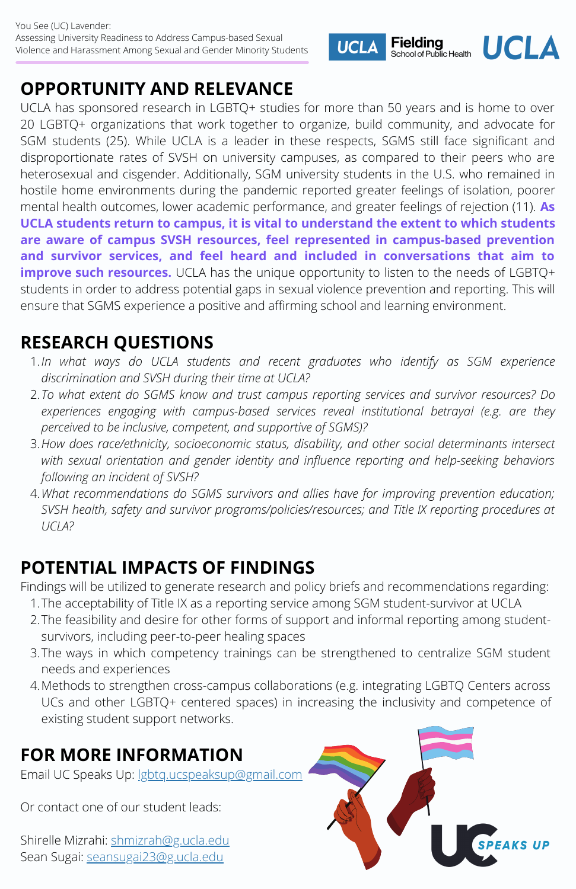# **OPPORTUNITY AND RELEVANCE**

UCLA has sponsored research in LGBTQ+ studies for more than 50 years and is home to over 20 LGBTQ+ organizations that work together to organize, build community, and advocate for SGM students (25). While UCLA is a leader in these respects, SGMS still face significant and disproportionate rates of SVSH on university campuses, as compared to their peers who are heterosexual and cisgender. Additionally, SGM university students in the U.S. who remained in hostile home environments during the pandemic reported greater feelings of isolation, poorer mental health outcomes, lower academic performance, and greater feelings of rejection (11). **As UCLA students return to campus, it is vital to understand the extent to which students are aware of campus SVSH resources, feel represented in campus-based prevention and survivor services, and feel heard and included in conversations that aim to improve such resources.** UCLA has the unique opportunity to listen to the needs of LGBTQ+ students in order to address potential gaps in sexual violence prevention and reporting. This will ensure that SGMS experience a positive and affirming school and learning environment.

**UCLA** 

### **RESEARCH QUESTIONS**

- *In what ways do UCLA students and recent graduates who identify as SGM experience* 1. *discrimination and SVSH during their time at UCLA?*
- *To what extent do SGMS know and trust campus reporting services and survivor resources? Do* 2. *experiences engaging with campus-based services reveal institutional betrayal (e.g. are they perceived to be inclusive, competent, and supportive of SGMS)?*
- *How does race/ethnicity, socioeconomic status, disability, and other social determinants intersect* 3. *with sexual orientation and gender identity and influence reporting and help-seeking behaviors following an incident of SVSH?*
- *What recommendations do SGMS survivors and allies have for improving prevention education;* 4. *SVSH health, safety and survivor programs/policies/resources; and Title IX reporting procedures at UCLA?*

### **POTENTIAL IMPACTS OF FINDINGS**

Findings will be utilized to generate research and policy briefs and recommendations regarding:

- The acceptability of Title IX as a reporting service among SGM student-survivor at UCLA 1.
- The feasibility and desire for other forms of support and informal reporting among student-2. survivors, including peer-to-peer healing spaces
- The ways in which competency trainings can be strengthened to centralize SGM student 3. needs and experiences
- Methods to strengthen cross-campus collaborations (e.g. integrating LGBTQ Centers across 4. UCs and other LGBTQ+ centered spaces) in increasing the inclusivity and competence of existing student support networks.

## **FOR MORE INFORMATION**

Email UC Speaks Up: lgbtq.ucspeaksup@gmail.com

Or contact one of our student leads:

Shirelle Mizrahi: shmizrah@g.ucla.edu Sean Sugai: seansugai23@g.ucla.edu



Fielding<br>School of Public Health UCLA